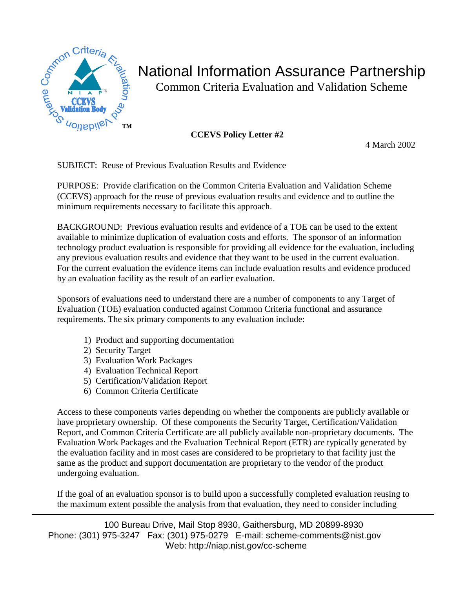

## National Information Assurance Partnership

Common Criteria Evaluation and Validation Scheme

## **CCEVS Policy Letter #2**

4 March 2002

SUBJECT: Reuse of Previous Evaluation Results and Evidence

PURPOSE: Provide clarification on the Common Criteria Evaluation and Validation Scheme (CCEVS) approach for the reuse of previous evaluation results and evidence and to outline the minimum requirements necessary to facilitate this approach.

BACKGROUND: Previous evaluation results and evidence of a TOE can be used to the extent available to minimize duplication of evaluation costs and efforts. The sponsor of an information technology product evaluation is responsible for providing all evidence for the evaluation, including any previous evaluation results and evidence that they want to be used in the current evaluation. For the current evaluation the evidence items can include evaluation results and evidence produced by an evaluation facility as the result of an earlier evaluation.

Sponsors of evaluations need to understand there are a number of components to any Target of Evaluation (TOE) evaluation conducted against Common Criteria functional and assurance requirements. The six primary components to any evaluation include:

- 1) Product and supporting documentation
- 2) Security Target
- 3) Evaluation Work Packages
- 4) Evaluation Technical Report
- 5) Certification/Validation Report
- 6) Common Criteria Certificate

Access to these components varies depending on whether the components are publicly available or have proprietary ownership. Of these components the Security Target, Certification/Validation Report, and Common Criteria Certificate are all publicly available non-proprietary documents. The Evaluation Work Packages and the Evaluation Technical Report (ETR) are typically generated by the evaluation facility and in most cases are considered to be proprietary to that facility just the same as the product and support documentation are proprietary to the vendor of the product undergoing evaluation.

If the goal of an evaluation sponsor is to build upon a successfully completed evaluation reusing to the maximum extent possible the analysis from that evaluation, they need to consider including

100 Bureau Drive, Mail Stop 8930, Gaithersburg, MD 20899-8930 Phone: (301) 975-3247 Fax: (301) 975-0279 E-mail: scheme-comments@nist.gov Web: http://niap.nist.gov/cc-scheme